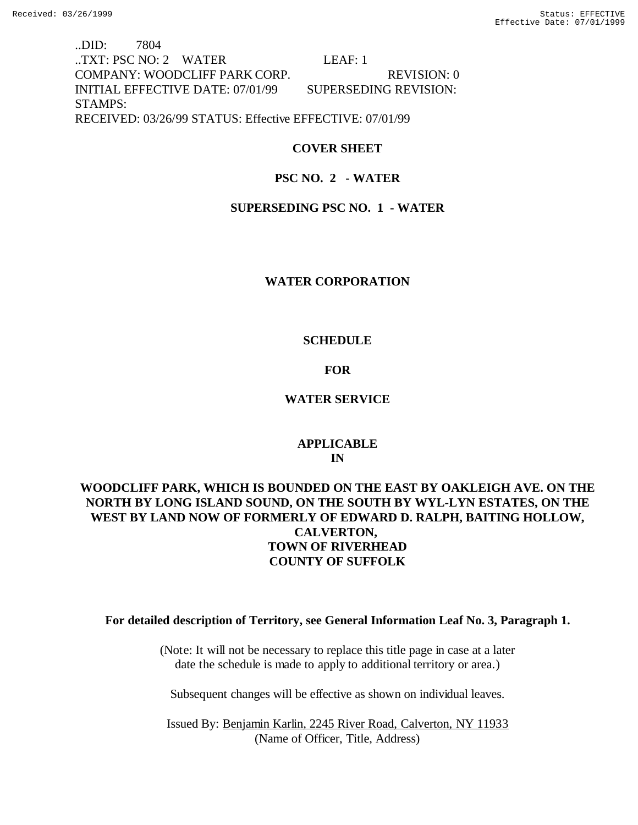..DID: 7804 ..TXT: PSC NO: 2 WATER LEAF: 1 COMPANY: WOODCLIFF PARK CORP. REVISION: 0 INITIAL EFFECTIVE DATE: 07/01/99 SUPERSEDING REVISION: STAMPS: RECEIVED: 03/26/99 STATUS: Effective EFFECTIVE: 07/01/99

## **COVER SHEET**

## **PSC NO. 2 - WATER**

## **SUPERSEDING PSC NO. 1 - WATER**

## **WATER CORPORATION**

## **SCHEDULE**

## **FOR**

## **WATER SERVICE**

## **APPLICABLE IN**

# **WOODCLIFF PARK, WHICH IS BOUNDED ON THE EAST BY OAKLEIGH AVE. ON THE NORTH BY LONG ISLAND SOUND, ON THE SOUTH BY WYL-LYN ESTATES, ON THE WEST BY LAND NOW OF FORMERLY OF EDWARD D. RALPH, BAITING HOLLOW, CALVERTON, TOWN OF RIVERHEAD COUNTY OF SUFFOLK**

## **For detailed description of Territory, see General Information Leaf No. 3, Paragraph 1.**

(Note: It will not be necessary to replace this title page in case at a later date the schedule is made to apply to additional territory or area.)

Subsequent changes will be effective as shown on individual leaves.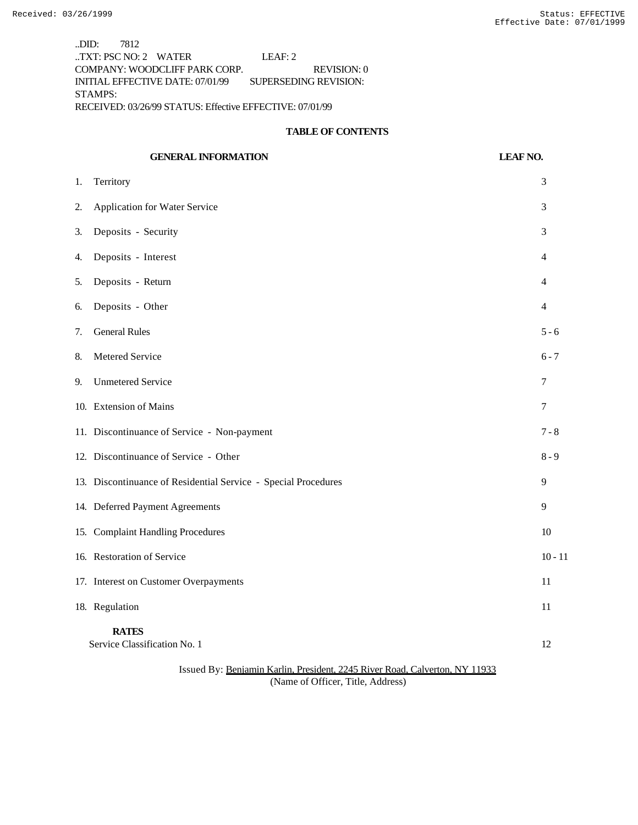..DID: 7812 ..TXT: PSC NO: 2 WATER LEAF: 2 COMPANY: WOODCLIFF PARK CORP. REVISION: 0 INITIAL EFFECTIVE DATE: 07/01/99 SUPERSEDING REVISION: STAMPS: RECEIVED: 03/26/99 STATUS: Effective EFFECTIVE: 07/01/99

#### **TABLE OF CONTENTS**

# **GENERAL INFORMATION LEAF NO.** 1. Territory 3 2. Application for Water Service 3 3. Deposits - Security 3 4. Deposits - Interest 4 5. Deposits - Return 4 6. Deposits - Other 4 7. General Rules 5 - 6 8. Metered Service 6 - 7 9. Unmetered Service 7 10. Extension of Mains 7 11. Discontinuance of Service - Non-payment 7 - 8 12. Discontinuance of Service - Other 8 - 9 13. Discontinuance of Residential Service - Special Procedures 9 14. Deferred Payment Agreements 9 15. Complaint Handling Procedures 10 16. Restoration of Service 10 - 11 17. Interest on Customer Overpayments 11 18. Regulation 11 **RATES** Service Classification No. 1 12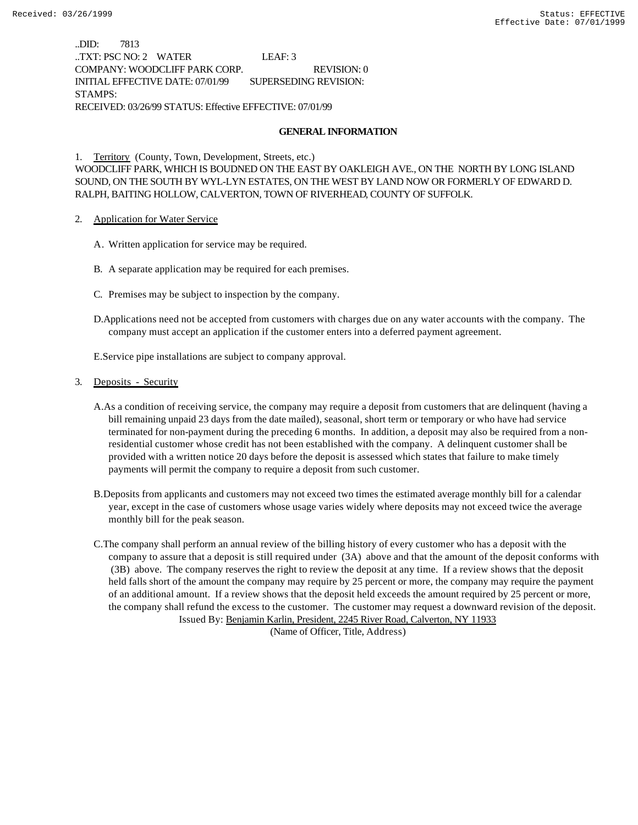..DID: 7813 ..TXT: PSC NO: 2 WATER LEAF: 3 COMPANY: WOODCLIFF PARK CORP. REVISION: 0 INITIAL EFFECTIVE DATE: 07/01/99 SUPERSEDING REVISION: STAMPS: RECEIVED: 03/26/99 STATUS: Effective EFFECTIVE: 07/01/99

#### **GENERAL INFORMATION**

1. Territory (County, Town, Development, Streets, etc.) WOODCLIFF PARK, WHICH IS BOUDNED ON THE EAST BY OAKLEIGH AVE., ON THE NORTH BY LONG ISLAND SOUND, ON THE SOUTH BY WYL-LYN ESTATES, ON THE WEST BY LAND NOW OR FORMERLY OF EDWARD D. RALPH, BAITING HOLLOW, CALVERTON, TOWN OF RIVERHEAD, COUNTY OF SUFFOLK.

- 2. Application for Water Service
	- A. Written application for service may be required.
	- B. A separate application may be required for each premises.
	- C. Premises may be subject to inspection by the company.
	- D.Applications need not be accepted from customers with charges due on any water accounts with the company. The company must accept an application if the customer enters into a deferred payment agreement.

E.Service pipe installations are subject to company approval.

#### 3. Deposits - Security

- A.As a condition of receiving service, the company may require a deposit from customers that are delinquent (having a bill remaining unpaid 23 days from the date mailed), seasonal, short term or temporary or who have had service terminated for non-payment during the preceding 6 months. In addition, a deposit may also be required from a nonresidential customer whose credit has not been established with the company. A delinquent customer shall be provided with a written notice 20 days before the deposit is assessed which states that failure to make timely payments will permit the company to require a deposit from such customer.
- B.Deposits from applicants and customers may not exceed two times the estimated average monthly bill for a calendar year, except in the case of customers whose usage varies widely where deposits may not exceed twice the average monthly bill for the peak season.
- C.The company shall perform an annual review of the billing history of every customer who has a deposit with the company to assure that a deposit is still required under (3A) above and that the amount of the deposit conforms with (3B) above. The company reserves the right to review the deposit at any time. If a review shows that the deposit held falls short of the amount the company may require by 25 percent or more, the company may require the payment of an additional amount. If a review shows that the deposit held exceeds the amount required by 25 percent or more, the company shall refund the excess to the customer. The customer may request a downward revision of the deposit. Issued By: Benjamin Karlin, President, 2245 River Road, Calverton, NY 11933

(Name of Officer, Title, Address)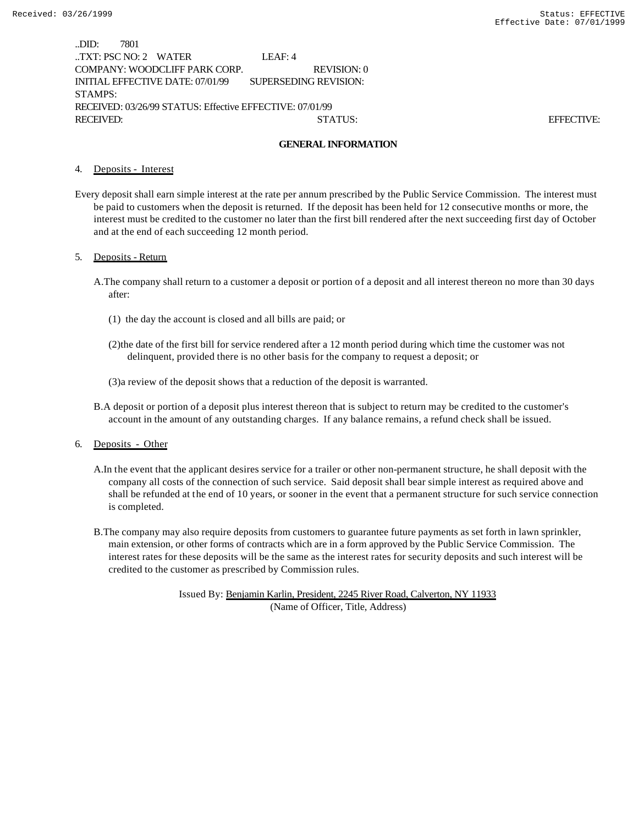| .DID:            | 7801                   |                                                          |                       |             |  |            |
|------------------|------------------------|----------------------------------------------------------|-----------------------|-------------|--|------------|
|                  | TXT: PSC NO: $2$ WATER |                                                          | LEAF: $4$             |             |  |            |
|                  |                        | COMPANY: WOODCLIFF PARK CORP.                            |                       | REVISION: 0 |  |            |
|                  |                        | INITIAL EFFECTIVE DATE: 07/01/99                         | SUPERSEDING REVISION: |             |  |            |
| STAMPS:          |                        |                                                          |                       |             |  |            |
|                  |                        | RECEIVED: 03/26/99 STATUS: Effective EFFECTIVE: 07/01/99 |                       |             |  |            |
| <b>RECEIVED:</b> |                        |                                                          |                       | STATUS:     |  | EFFECTIVE: |

#### **GENERAL INFORMATION**

#### 4. Deposits - Interest

Every deposit shall earn simple interest at the rate per annum prescribed by the Public Service Commission. The interest must be paid to customers when the deposit is returned. If the deposit has been held for 12 consecutive months or more, the interest must be credited to the customer no later than the first bill rendered after the next succeeding first day of October and at the end of each succeeding 12 month period.

#### 5. Deposits - Return

- A.The company shall return to a customer a deposit or portion of a deposit and all interest thereon no more than 30 days after:
	- (1) the day the account is closed and all bills are paid; or
	- (2)the date of the first bill for service rendered after a 12 month period during which time the customer was not delinquent, provided there is no other basis for the company to request a deposit; or
	- (3)a review of the deposit shows that a reduction of the deposit is warranted.
- B.A deposit or portion of a deposit plus interest thereon that is subject to return may be credited to the customer's account in the amount of any outstanding charges. If any balance remains, a refund check shall be issued.

#### 6. Deposits - Other

- A.In the event that the applicant desires service for a trailer or other non-permanent structure, he shall deposit with the company all costs of the connection of such service. Said deposit shall bear simple interest as required above and shall be refunded at the end of 10 years, or sooner in the event that a permanent structure for such service connection is completed.
- B.The company may also require deposits from customers to guarantee future payments as set forth in lawn sprinkler, main extension, or other forms of contracts which are in a form approved by the Public Service Commission. The interest rates for these deposits will be the same as the interest rates for security deposits and such interest will be credited to the customer as prescribed by Commission rules.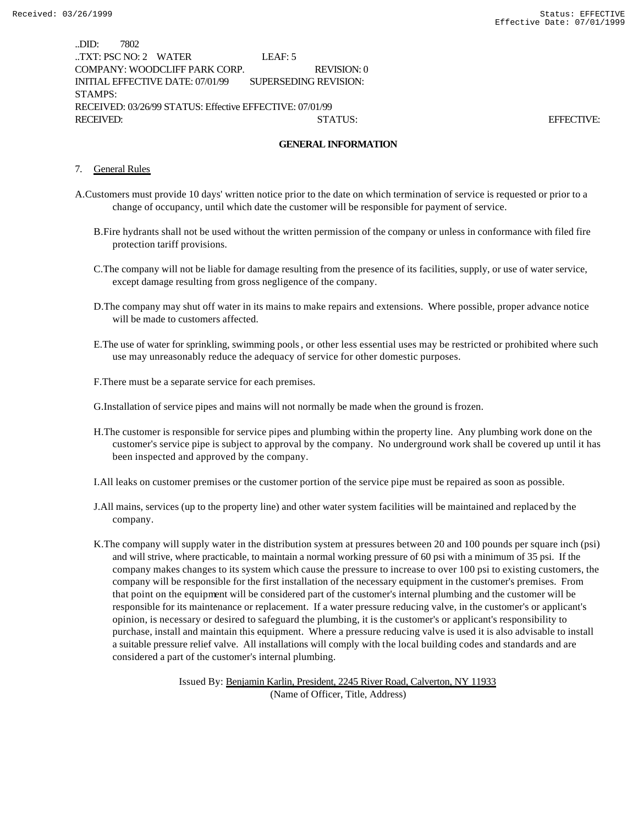| .DID:     | 7802                 |                                                          |                       |             |  |                   |
|-----------|----------------------|----------------------------------------------------------|-----------------------|-------------|--|-------------------|
|           | TXT: PSC NO: 2 WATER |                                                          | LEAF: $5$             |             |  |                   |
|           |                      | COMPANY: WOODCLIFF PARK CORP.                            |                       | REVISION: 0 |  |                   |
|           |                      | INITIAL EFFECTIVE DATE: 07/01/99                         | SUPERSEDING REVISION: |             |  |                   |
| STAMPS:   |                      |                                                          |                       |             |  |                   |
|           |                      | RECEIVED: 03/26/99 STATUS: Effective EFFECTIVE: 07/01/99 |                       |             |  |                   |
| RECEIVED: |                      |                                                          |                       | STATUS:     |  | <b>EFFECTIVE:</b> |

#### **GENERAL INFORMATION**

#### 7. General Rules

- A.Customers must provide 10 days' written notice prior to the date on which termination of service is requested or prior to a change of occupancy, until which date the customer will be responsible for payment of service.
	- B.Fire hydrants shall not be used without the written permission of the company or unless in conformance with filed fire protection tariff provisions.
	- C.The company will not be liable for damage resulting from the presence of its facilities, supply, or use of water service, except damage resulting from gross negligence of the company.
	- D.The company may shut off water in its mains to make repairs and extensions. Where possible, proper advance notice will be made to customers affected.
	- E.The use of water for sprinkling, swimming pools, or other less essential uses may be restricted or prohibited where such use may unreasonably reduce the adequacy of service for other domestic purposes.

F.There must be a separate service for each premises.

G.Installation of service pipes and mains will not normally be made when the ground is frozen.

H.The customer is responsible for service pipes and plumbing within the property line. Any plumbing work done on the customer's service pipe is subject to approval by the company. No underground work shall be covered up until it has been inspected and approved by the company.

I.All leaks on customer premises or the customer portion of the service pipe must be repaired as soon as possible.

- J.All mains, services (up to the property line) and other water system facilities will be maintained and replaced by the company.
- K.The company will supply water in the distribution system at pressures between 20 and 100 pounds per square inch (psi) and will strive, where practicable, to maintain a normal working pressure of 60 psi with a minimum of 35 psi. If the company makes changes to its system which cause the pressure to increase to over 100 psi to existing customers, the company will be responsible for the first installation of the necessary equipment in the customer's premises. From that point on the equipment will be considered part of the customer's internal plumbing and the customer will be responsible for its maintenance or replacement. If a water pressure reducing valve, in the customer's or applicant's opinion, is necessary or desired to safeguard the plumbing, it is the customer's or applicant's responsibility to purchase, install and maintain this equipment. Where a pressure reducing valve is used it is also advisable to install a suitable pressure relief valve. All installations will comply with the local building codes and standards and are considered a part of the customer's internal plumbing.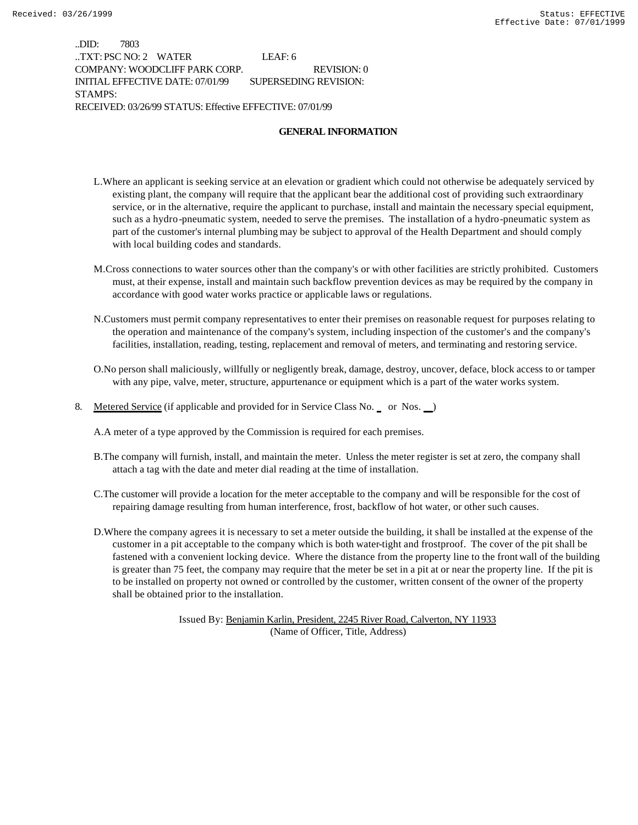..DID: 7803 ..TXT: PSC NO: 2 WATER LEAF: 6 COMPANY: WOODCLIFF PARK CORP. REVISION: 0 INITIAL EFFECTIVE DATE: 07/01/99 SUPERSEDING REVISION: STAMPS: RECEIVED: 03/26/99 STATUS: Effective EFFECTIVE: 07/01/99

#### **GENERAL INFORMATION**

- L.Where an applicant is seeking service at an elevation or gradient which could not otherwise be adequately serviced by existing plant, the company will require that the applicant bear the additional cost of providing such extraordinary service, or in the alternative, require the applicant to purchase, install and maintain the necessary special equipment, such as a hydro-pneumatic system, needed to serve the premises. The installation of a hydro-pneumatic system as part of the customer's internal plumbing may be subject to approval of the Health Department and should comply with local building codes and standards.
- M.Cross connections to water sources other than the company's or with other facilities are strictly prohibited. Customers must, at their expense, install and maintain such backflow prevention devices as may be required by the company in accordance with good water works practice or applicable laws or regulations.
- N.Customers must permit company representatives to enter their premises on reasonable request for purposes relating to the operation and maintenance of the company's system, including inspection of the customer's and the company's facilities, installation, reading, testing, replacement and removal of meters, and terminating and restoring service.
- O.No person shall maliciously, willfully or negligently break, damage, destroy, uncover, deface, block access to or tamper with any pipe, valve, meter, structure, appurtenance or equipment which is a part of the water works system.
- 8. Metered Service (if applicable and provided for in Service Class No. or Nos. )

A.A meter of a type approved by the Commission is required for each premises.

- B.The company will furnish, install, and maintain the meter. Unless the meter register is set at zero, the company shall attach a tag with the date and meter dial reading at the time of installation.
- C.The customer will provide a location for the meter acceptable to the company and will be responsible for the cost of repairing damage resulting from human interference, frost, backflow of hot water, or other such causes.
- D.Where the company agrees it is necessary to set a meter outside the building, it shall be installed at the expense of the customer in a pit acceptable to the company which is both water-tight and frostproof. The cover of the pit shall be fastened with a convenient locking device. Where the distance from the property line to the front wall of the building is greater than 75 feet, the company may require that the meter be set in a pit at or near the property line. If the pit is to be installed on property not owned or controlled by the customer, written consent of the owner of the property shall be obtained prior to the installation.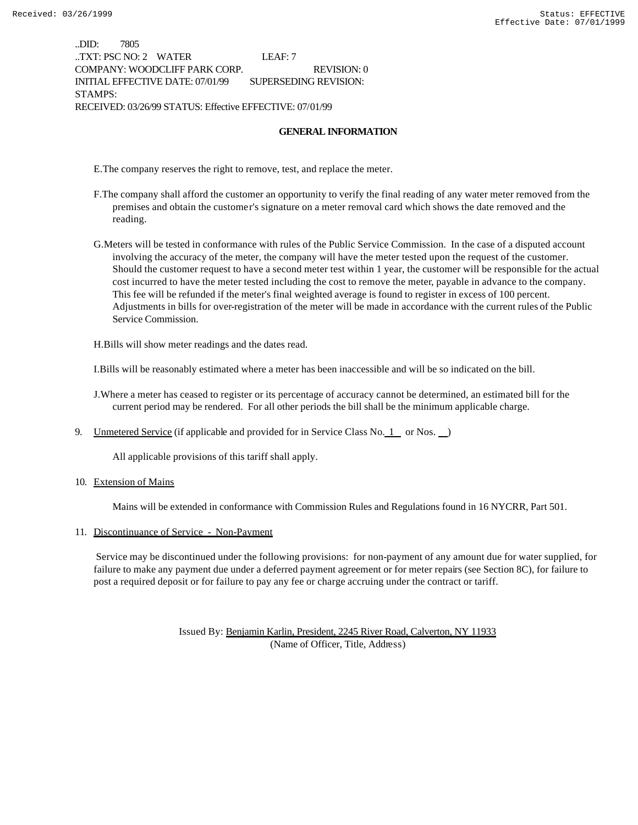..DID: 7805 ..TXT: PSC NO: 2 WATER LEAF: 7 COMPANY: WOODCLIFF PARK CORP. REVISION: 0 INITIAL EFFECTIVE DATE: 07/01/99 SUPERSEDING REVISION: STAMPS: RECEIVED: 03/26/99 STATUS: Effective EFFECTIVE: 07/01/99

#### **GENERAL INFORMATION**

E.The company reserves the right to remove, test, and replace the meter.

- F.The company shall afford the customer an opportunity to verify the final reading of any water meter removed from the premises and obtain the customer's signature on a meter removal card which shows the date removed and the reading.
- G.Meters will be tested in conformance with rules of the Public Service Commission. In the case of a disputed account involving the accuracy of the meter, the company will have the meter tested upon the request of the customer. Should the customer request to have a second meter test within 1 year, the customer will be responsible for the actual cost incurred to have the meter tested including the cost to remove the meter, payable in advance to the company. This fee will be refunded if the meter's final weighted average is found to register in excess of 100 percent. Adjustments in bills for over-registration of the meter will be made in accordance with the current rules of the Public Service Commission.

H.Bills will show meter readings and the dates read.

I.Bills will be reasonably estimated where a meter has been inaccessible and will be so indicated on the bill.

J.Where a meter has ceased to register or its percentage of accuracy cannot be determined, an estimated bill for the current period may be rendered. For all other periods the bill shall be the minimum applicable charge.

9. Unmetered Service (if applicable and provided for in Service Class No.  $1$  or Nos.  $\Box$ )

All applicable provisions of this tariff shall apply.

10. Extension of Mains

Mains will be extended in conformance with Commission Rules and Regulations found in 16 NYCRR, Part 501.

#### 11. Discontinuance of Service - Non-Payment

 Service may be discontinued under the following provisions: for non-payment of any amount due for water supplied, for failure to make any payment due under a deferred payment agreement or for meter repairs (see Section 8C), for failure to post a required deposit or for failure to pay any fee or charge accruing under the contract or tariff.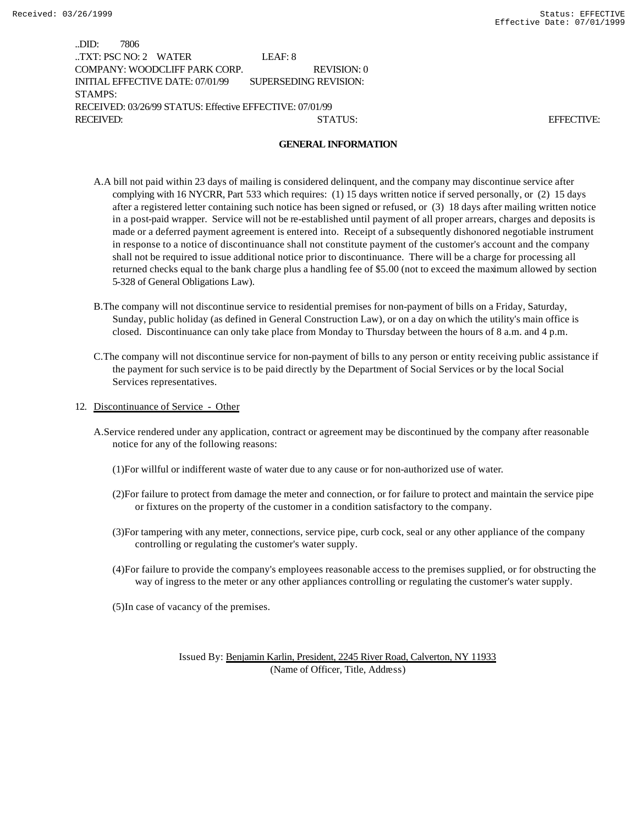| .DID:     | 7806                   |                                                          |                       |                   |
|-----------|------------------------|----------------------------------------------------------|-----------------------|-------------------|
|           | TXT: PSC NO: $2$ WATER |                                                          | LEAF: 8               |                   |
|           |                        | COMPANY: WOODCLIFF PARK CORP.                            | REVISION: 0           |                   |
|           |                        | INITIAL EFFECTIVE DATE: 07/01/99                         | SUPERSEDING REVISION: |                   |
| STAMPS:   |                        |                                                          |                       |                   |
|           |                        | RECEIVED: 03/26/99 STATUS: Effective EFFECTIVE: 07/01/99 |                       |                   |
| RECEIVED: |                        |                                                          | STATUS:               | <b>EFFECTIVE:</b> |

#### **GENERAL INFORMATION**

- A.A bill not paid within 23 days of mailing is considered delinquent, and the company may discontinue service after complying with 16 NYCRR, Part 533 which requires: (1) 15 days written notice if served personally, or (2) 15 days after a registered letter containing such notice has been signed or refused, or (3) 18 days after mailing written notice in a post-paid wrapper. Service will not be re-established until payment of all proper arrears, charges and deposits is made or a deferred payment agreement is entered into. Receipt of a subsequently dishonored negotiable instrument in response to a notice of discontinuance shall not constitute payment of the customer's account and the company shall not be required to issue additional notice prior to discontinuance. There will be a charge for processing all returned checks equal to the bank charge plus a handling fee of \$5.00 (not to exceed the maximum allowed by section 5-328 of General Obligations Law).
- B.The company will not discontinue service to residential premises for non-payment of bills on a Friday, Saturday, Sunday, public holiday (as defined in General Construction Law), or on a day on which the utility's main office is closed. Discontinuance can only take place from Monday to Thursday between the hours of 8 a.m. and 4 p.m.
- C.The company will not discontinue service for non-payment of bills to any person or entity receiving public assistance if the payment for such service is to be paid directly by the Department of Social Services or by the local Social Services representatives.
- 12. Discontinuance of Service Other
	- A.Service rendered under any application, contract or agreement may be discontinued by the company after reasonable notice for any of the following reasons:
		- (1)For willful or indifferent waste of water due to any cause or for non-authorized use of water.
		- (2)For failure to protect from damage the meter and connection, or for failure to protect and maintain the service pipe or fixtures on the property of the customer in a condition satisfactory to the company.
		- (3)For tampering with any meter, connections, service pipe, curb cock, seal or any other appliance of the company controlling or regulating the customer's water supply.
		- (4)For failure to provide the company's employees reasonable access to the premises supplied, or for obstructing the way of ingress to the meter or any other appliances controlling or regulating the customer's water supply.
		- (5)In case of vacancy of the premises.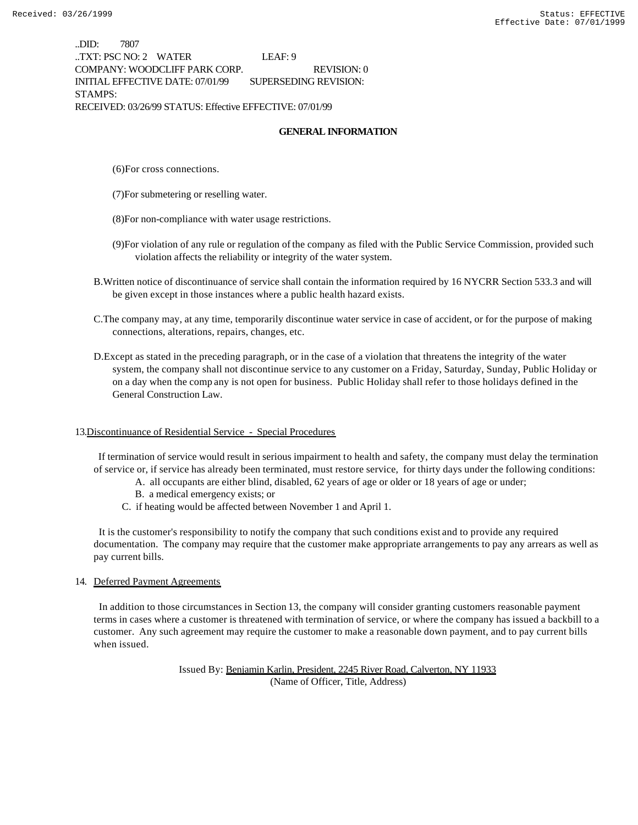..DID: 7807 ..TXT: PSC NO: 2 WATER LEAF: 9 COMPANY: WOODCLIFF PARK CORP. REVISION: 0 INITIAL EFFECTIVE DATE: 07/01/99 SUPERSEDING REVISION: STAMPS: RECEIVED: 03/26/99 STATUS: Effective EFFECTIVE: 07/01/99

#### **GENERAL INFORMATION**

- (6)For cross connections.
- (7)For submetering or reselling water.
- (8)For non-compliance with water usage restrictions.
- (9)For violation of any rule or regulation of the company as filed with the Public Service Commission, provided such violation affects the reliability or integrity of the water system.
- B.Written notice of discontinuance of service shall contain the information required by 16 NYCRR Section 533.3 and will be given except in those instances where a public health hazard exists.
- C.The company may, at any time, temporarily discontinue water service in case of accident, or for the purpose of making connections, alterations, repairs, changes, etc.
- D.Except as stated in the preceding paragraph, or in the case of a violation that threatens the integrity of the water system, the company shall not discontinue service to any customer on a Friday, Saturday, Sunday, Public Holiday or on a day when the comp any is not open for business. Public Holiday shall refer to those holidays defined in the General Construction Law.

#### 13.Discontinuance of Residential Service - Special Procedures

 If termination of service would result in serious impairment to health and safety, the company must delay the termination of service or, if service has already been terminated, must restore service, for thirty days under the following conditions:

- A. all occupants are either blind, disabled, 62 years of age or older or 18 years of age or under;
- B. a medical emergency exists; or
- C. if heating would be affected between November 1 and April 1.

 It is the customer's responsibility to notify the company that such conditions exist and to provide any required documentation. The company may require that the customer make appropriate arrangements to pay any arrears as well as pay current bills.

#### 14. Deferred Payment Agreements

 In addition to those circumstances in Section 13, the company will consider granting customers reasonable payment terms in cases where a customer is threatened with termination of service, or where the company has issued a backbill to a customer. Any such agreement may require the customer to make a reasonable down payment, and to pay current bills when issued.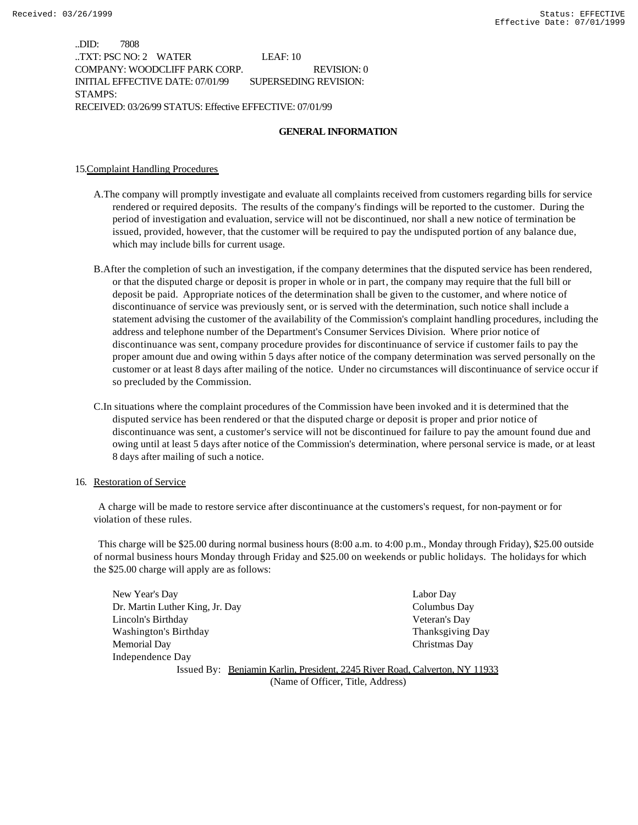..DID: 7808 ..TXT: PSC NO: 2 WATER LEAF: 10 COMPANY: WOODCLIFF PARK CORP. REVISION: 0 INITIAL EFFECTIVE DATE: 07/01/99 SUPERSEDING REVISION: STAMPS: RECEIVED: 03/26/99 STATUS: Effective EFFECTIVE: 07/01/99

#### **GENERAL INFORMATION**

#### 15.Complaint Handling Procedures

- A.The company will promptly investigate and evaluate all complaints received from customers regarding bills for service rendered or required deposits. The results of the company's findings will be reported to the customer. During the period of investigation and evaluation, service will not be discontinued, nor shall a new notice of termination be issued, provided, however, that the customer will be required to pay the undisputed portion of any balance due, which may include bills for current usage.
- B.After the completion of such an investigation, if the company determines that the disputed service has been rendered, or that the disputed charge or deposit is proper in whole or in part, the company may require that the full bill or deposit be paid. Appropriate notices of the determination shall be given to the customer, and where notice of discontinuance of service was previously sent, or is served with the determination, such notice shall include a statement advising the customer of the availability of the Commission's complaint handling procedures, including the address and telephone number of the Department's Consumer Services Division. Where prior notice of discontinuance was sent, company procedure provides for discontinuance of service if customer fails to pay the proper amount due and owing within 5 days after notice of the company determination was served personally on the customer or at least 8 days after mailing of the notice. Under no circumstances will discontinuance of service occur if so precluded by the Commission.
- C.In situations where the complaint procedures of the Commission have been invoked and it is determined that the disputed service has been rendered or that the disputed charge or deposit is proper and prior notice of discontinuance was sent, a customer's service will not be discontinued for failure to pay the amount found due and owing until at least 5 days after notice of the Commission's determination, where personal service is made, or at least 8 days after mailing of such a notice.

#### 16. Restoration of Service

 A charge will be made to restore service after discontinuance at the customers's request, for non-payment or for violation of these rules.

 This charge will be \$25.00 during normal business hours (8:00 a.m. to 4:00 p.m., Monday through Friday), \$25.00 outside of normal business hours Monday through Friday and \$25.00 on weekends or public holidays. The holidays for which the \$25.00 charge will apply are as follows:

| New Year's Day                  |                                                                             | Labor Day               |
|---------------------------------|-----------------------------------------------------------------------------|-------------------------|
| Dr. Martin Luther King, Jr. Day |                                                                             | Columbus Day            |
| Lincoln's Birthday              |                                                                             | Veteran's Day           |
| Washington's Birthday           |                                                                             | <b>Thanksgiving Day</b> |
| Memorial Day                    |                                                                             | Christmas Day           |
| Independence Day                |                                                                             |                         |
|                                 | Issued By: Benjamin Karlin, President, 2245 River Road, Calverton, NY 11933 |                         |

(Name of Officer, Title, Address)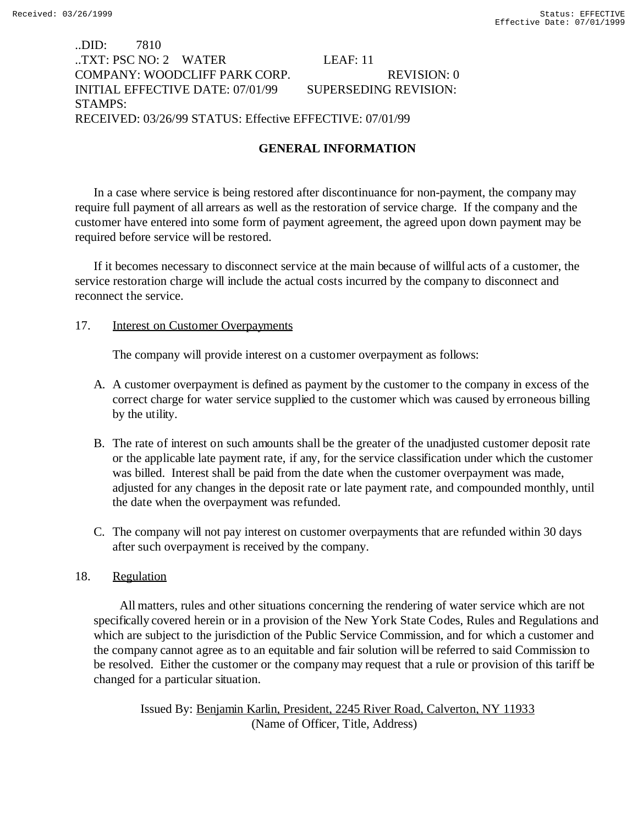# ..DID: 7810 ..TXT: PSC NO: 2 WATER LEAF: 11 COMPANY: WOODCLIFF PARK CORP. REVISION: 0 INITIAL EFFECTIVE DATE: 07/01/99 SUPERSEDING REVISION: STAMPS: RECEIVED: 03/26/99 STATUS: Effective EFFECTIVE: 07/01/99

# **GENERAL INFORMATION**

In a case where service is being restored after discontinuance for non-payment, the company may require full payment of all arrears as well as the restoration of service charge. If the company and the customer have entered into some form of payment agreement, the agreed upon down payment may be required before service will be restored.

If it becomes necessary to disconnect service at the main because of willful acts of a customer, the service restoration charge will include the actual costs incurred by the company to disconnect and reconnect the service.

## 17. Interest on Customer Overpayments

The company will provide interest on a customer overpayment as follows:

- A. A customer overpayment is defined as payment by the customer to the company in excess of the correct charge for water service supplied to the customer which was caused by erroneous billing by the utility.
- B. The rate of interest on such amounts shall be the greater of the unadjusted customer deposit rate or the applicable late payment rate, if any, for the service classification under which the customer was billed. Interest shall be paid from the date when the customer overpayment was made, adjusted for any changes in the deposit rate or late payment rate, and compounded monthly, until the date when the overpayment was refunded.
- C. The company will not pay interest on customer overpayments that are refunded within 30 days after such overpayment is received by the company.

## 18. Regulation

 All matters, rules and other situations concerning the rendering of water service which are not specifically covered herein or in a provision of the New York State Codes, Rules and Regulations and which are subject to the jurisdiction of the Public Service Commission, and for which a customer and the company cannot agree as to an equitable and fair solution will be referred to said Commission to be resolved. Either the customer or the company may request that a rule or provision of this tariff be changed for a particular situation.